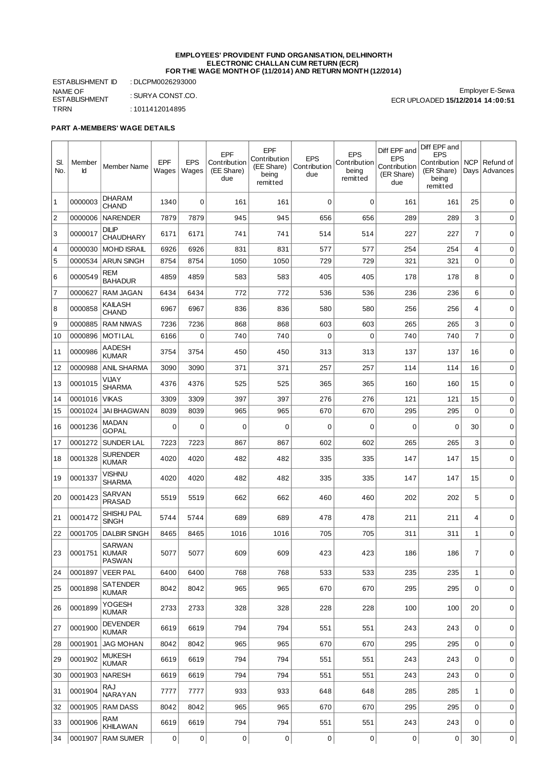## **EMPLOYEES' PROVIDENT FUND ORGANISATION, DELHINORTH ELECTRONIC CHALLAN CUM RETURN (ECR) FOR THE WAGE MONTH OF (11/2014) AND RETURN MONTH (12/2014)**

ESTABLISHMENT ID : DLCPM0026293000 NAME OF ESTABLISHMENT : SURYA CONST.CO. TRRN : 1011412014895

Employer E-Sewa ECR UPLOADED **15/12/2014 14:00:51**

## **PART A-MEMBERS' WAGE DETAILS**

| SI.<br>No.     | Member<br>Id  | Member Name                       | EPF<br>Wages | <b>EPS</b><br>Wages | EPF<br>Contribution<br>(EE Share)<br>due | EPF<br>Contribution<br>(EE Share)<br>being<br>remitted | <b>EPS</b><br>Contribution<br>due | <b>EPS</b><br>Contribution<br>being<br>remitted | Diff EPF and<br><b>EPS</b><br>Contribution<br>(ER Share)<br>due | Diff EPF and<br><b>EPS</b><br>Contribution<br>(ER Share)<br>being<br>remitted | <b>NCP</b><br>Days | Refund of<br>Advances |
|----------------|---------------|-----------------------------------|--------------|---------------------|------------------------------------------|--------------------------------------------------------|-----------------------------------|-------------------------------------------------|-----------------------------------------------------------------|-------------------------------------------------------------------------------|--------------------|-----------------------|
| 1              | 0000003       | <b>DHARAM</b><br><b>CHAND</b>     | 1340         | 0                   | 161                                      | 161                                                    | $\mathbf 0$                       | $\mathbf 0$                                     | 161                                                             | 161                                                                           | 25                 | 0                     |
| $\overline{c}$ | 0000006       | <b>NARENDER</b>                   | 7879         | 7879                | 945                                      | 945                                                    | 656                               | 656                                             | 289                                                             | 289                                                                           | 3                  | 0                     |
| 3              | 0000017       | <b>DILIP</b><br><b>CHAUDHARY</b>  | 6171         | 6171                | 741                                      | 741                                                    | 514                               | 514                                             | 227                                                             | 227                                                                           | 7                  | 0                     |
| $\overline{4}$ | 0000030       | <b>MOHD ISRAIL</b>                | 6926         | 6926                | 831                                      | 831                                                    | 577                               | 577                                             | 254                                                             | 254                                                                           | 4                  | 0                     |
| 5              | 0000534       | <b>ARUN SINGH</b>                 | 8754         | 8754                | 1050                                     | 1050                                                   | 729                               | 729                                             | 321                                                             | 321                                                                           | $\mathbf 0$        | 0                     |
| 6              | 0000549       | REM<br><b>BAHADUR</b>             | 4859         | 4859                | 583                                      | 583                                                    | 405                               | 405                                             | 178                                                             | 178                                                                           | 8                  | 0                     |
| $\overline{7}$ | 0000627       | <b>RAM JAGAN</b>                  | 6434         | 6434                | 772                                      | 772                                                    | 536                               | 536                                             | 236                                                             | 236                                                                           | 6                  | 0                     |
| 8              | 0000858       | KAILASH<br><b>CHAND</b>           | 6967         | 6967                | 836                                      | 836                                                    | 580                               | 580                                             | 256                                                             | 256                                                                           | 4                  | 0                     |
| 9              | 0000885       | <b>RAM NIWAS</b>                  | 7236         | 7236                | 868                                      | 868                                                    | 603                               | 603                                             | 265                                                             | 265                                                                           | 3                  | 0                     |
| 10             | 0000896       | <b>MOTILAL</b>                    | 6166         | $\mathbf 0$         | 740                                      | 740                                                    | $\mathbf 0$                       | $\mathbf 0$                                     | 740                                                             | 740                                                                           | $\overline{7}$     | 0                     |
| 11             | 0000986       | <b>AADESH</b><br><b>KUMAR</b>     | 3754         | 3754                | 450                                      | 450                                                    | 313                               | 313                                             | 137                                                             | 137                                                                           | 16                 | 0                     |
| 12             | 0000988       | <b>ANIL SHARMA</b>                | 3090         | 3090                | 371                                      | 371                                                    | 257                               | 257                                             | 114                                                             | 114                                                                           | 16                 | 0                     |
| 13             | 0001015       | VIJAY<br><b>SHARMA</b>            | 4376         | 4376                | 525                                      | 525                                                    | 365                               | 365                                             | 160                                                             | 160                                                                           | 15                 | 0                     |
| 14             | 0001016       | <b>VIKAS</b>                      | 3309         | 3309                | 397                                      | 397                                                    | 276                               | 276                                             | 121                                                             | 121                                                                           | 15                 | 0                     |
| 15             | 0001024       | <b>JAI BHAGWAN</b>                | 8039         | 8039                | 965                                      | 965                                                    | 670                               | 670                                             | 295                                                             | 295                                                                           | $\Omega$           | 0                     |
| 16             | 0001236       | MADAN<br><b>GOPAL</b>             | 0            | 0                   | 0                                        | 0                                                      | 0                                 | $\mathbf 0$                                     | 0                                                               | 0                                                                             | 30                 | 0                     |
| 17             | 0001272       | <b>SUNDER LAL</b>                 | 7223         | 7223                | 867                                      | 867                                                    | 602                               | 602                                             | 265                                                             | 265                                                                           | 3                  | $\mathbf 0$           |
| 18             | 0001328       | <b>SURENDER</b><br><b>KUMAR</b>   | 4020         | 4020                | 482                                      | 482                                                    | 335                               | 335                                             | 147                                                             | 147                                                                           | 15                 | 0                     |
| 19             | 0001337       | <b>VISHNU</b><br><b>SHARMA</b>    | 4020         | 4020                | 482                                      | 482                                                    | 335                               | 335                                             | 147                                                             | 147                                                                           | 15                 | 0                     |
| 20             | 0001423       | SARVAN<br><b>PRASAD</b>           | 5519         | 5519                | 662                                      | 662                                                    | 460                               | 460                                             | 202                                                             | 202                                                                           | 5                  | 0                     |
| 21             | 0001472       | <b>SHISHU PAL</b><br><b>SINGH</b> | 5744         | 5744                | 689                                      | 689                                                    | 478                               | 478                                             | 211                                                             | 211                                                                           | 4                  | 0                     |
| 22             | 0001705       | <b>DALBIR SINGH</b>               | 8465         | 8465                | 1016                                     | 1016                                                   | 705                               | 705                                             | 311                                                             | 311                                                                           | $\mathbf 1$        | 0                     |
| 23             | 0001751 KUMAR | <b>SARWAN</b><br>PASWAN           | 5077         | 5077                | 609                                      | 609                                                    | 423                               | 423                                             | 186                                                             | 186                                                                           | 7                  | 0                     |
| 24             | 0001897       | <b>VEER PAL</b>                   | 6400         | 6400                | 768                                      | 768                                                    | 533                               | 533                                             | 235                                                             | 235                                                                           | $\mathbf{1}$       | 0                     |
| 25             | 0001898       | SATENDER<br><b>KUMAR</b>          | 8042         | 8042                | 965                                      | 965                                                    | 670                               | 670                                             | 295                                                             | 295                                                                           | 0                  | 0                     |
| 26             | 0001899       | YOGESH<br>KUMAR                   | 2733         | 2733                | 328                                      | 328                                                    | 228                               | 228                                             | 100                                                             | 100                                                                           | 20                 | 0                     |
| 27             | 0001900       | <b>DEVENDER</b><br><b>KUMAR</b>   | 6619         | 6619                | 794                                      | 794                                                    | 551                               | 551                                             | 243                                                             | 243                                                                           | 0                  | 0                     |
| 28             | 0001901       | <b>JAG MOHAN</b>                  | 8042         | 8042                | 965                                      | 965                                                    | 670                               | 670                                             | 295                                                             | 295                                                                           | 0                  | 0                     |
| 29             | 0001902       | <b>MUKESH</b><br><b>KUMAR</b>     | 6619         | 6619                | 794                                      | 794                                                    | 551                               | 551                                             | 243                                                             | 243                                                                           | 0                  | 0                     |
| 30             | 0001903       | <b>NARESH</b>                     | 6619         | 6619                | 794                                      | 794                                                    | 551                               | 551                                             | 243                                                             | 243                                                                           | 0                  | 0                     |
| 31             | 0001904       | RAJ<br>NARAYAN                    | 7777         | 7777                | 933                                      | 933                                                    | 648                               | 648                                             | 285                                                             | 285                                                                           | 1                  | 0                     |
| 32             | 0001905       | <b>RAM DASS</b>                   | 8042         | 8042                | 965                                      | 965                                                    | 670                               | 670                                             | 295                                                             | 295                                                                           | 0                  | 0                     |
| 33             | 0001906       | RAM<br><b>KHILAWAN</b>            | 6619         | 6619                | 794                                      | 794                                                    | 551                               | 551                                             | 243                                                             | 243                                                                           | 0                  | 0                     |
| 34             | 0001907       | <b>RAM SUMER</b>                  | 0            | $\overline{0}$      | 0                                        | $\pmb{0}$                                              | 0                                 | 0                                               | 0                                                               | 0                                                                             | 30                 | $\mathbf 0$           |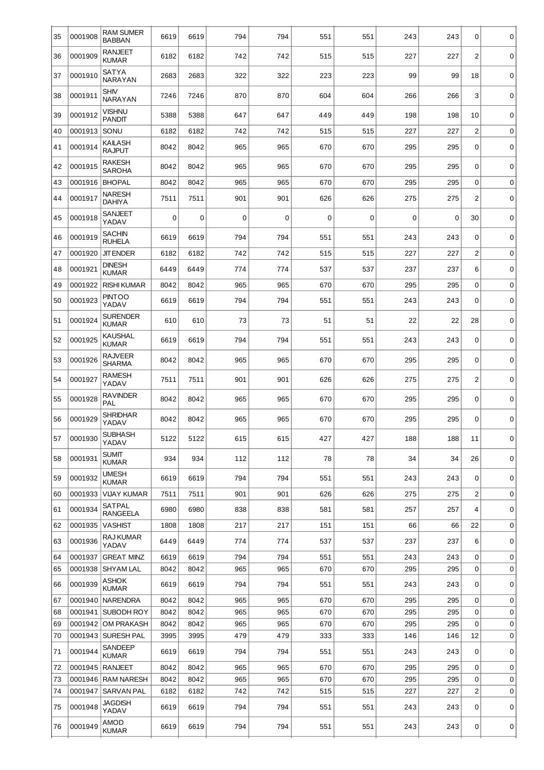| 35       | 0001908            | <b>RAM SUMER</b><br><b>BABBAN</b> | 6619         | 6619         | 794        | 794        | 551         | 551         | 243        | 243        | 0              | 0      |
|----------|--------------------|-----------------------------------|--------------|--------------|------------|------------|-------------|-------------|------------|------------|----------------|--------|
| 36       | 0001909            | <b>RANJEET</b><br><b>KUMAR</b>    | 6182         | 6182         | 742        | 742        | 515         | 515         | 227        | 227        | $\overline{2}$ | 0      |
| 37       | 0001910            | SATYA<br>NARAYAN                  | 2683         | 2683         | 322        | 322        | 223         | 223         | 99         | 99         | 18             | 0      |
| 38       | 0001911            | <b>SHIV</b><br><b>NARAYAN</b>     | 7246         | 7246         | 870        | 870        | 604         | 604         | 266        | 266        | 3              | 0      |
| 39       | 0001912            | <b>VISHNU</b><br><b>PANDIT</b>    | 5388         | 5388         | 647        | 647        | 449         | 449         | 198        | 198        | 10             | 0      |
| 40       | 0001913            | SONU                              | 6182         | 6182         | 742        | 742        | 515         | 515         | 227        | 227        | $\overline{c}$ | 0      |
| 41       | 0001914            | KAILASH<br><b>RAJPUT</b>          | 8042         | 8042         | 965        | 965        | 670         | 670         | 295        | 295        | 0              | 0      |
| 42       | 0001915            | <b>RAKESH</b><br><b>SAROHA</b>    | 8042         | 8042         | 965        | 965        | 670         | 670         | 295        | 295        | 0              | 0      |
| 43       | 0001916            | <b>BHOPAL</b>                     | 8042         | 8042         | 965        | 965        | 670         | 670         | 295        | 295        | 0              | 0      |
| 44       | 0001917            | <b>NARESH</b><br><b>DAHIYA</b>    | 7511         | 7511         | 901        | 901        | 626         | 626         | 275        | 275        | $\overline{2}$ | 0      |
| 45       | 0001918            | SANJEET<br>YADAV                  | 0            | $\mathbf 0$  | 0          | 0          | $\mathbf 0$ | $\mathbf 0$ | 0          | 0          | 30             | 0      |
| 46       | 0001919            | <b>SACHIN</b><br><b>RUHELA</b>    | 6619         | 6619         | 794        | 794        | 551         | 551         | 243        | 243        | $\mathbf 0$    | 0      |
| 47       | 0001920            | <b>JIT ENDER</b>                  | 6182         | 6182         | 742        | 742        | 515         | 515         | 227        | 227        | $\overline{c}$ | 0      |
| 48       | 0001921            | <b>DINESH</b><br><b>KUMAR</b>     | 6449         | 6449         | 774        | 774        | 537         | 537         | 237        | 237        | 6              | 0      |
| 49       | 0001922            | <b>RISHI KUMAR</b>                | 8042         | 8042         | 965        | 965        | 670         | 670         | 295        | 295        | $\mathbf 0$    | 0      |
| 50       | 0001923            | <b>PINTOO</b><br>YADAV            | 6619         | 6619         | 794        | 794        | 551         | 551         | 243        | 243        | 0              | 0      |
| 51       | 0001924            | <b>SURENDER</b><br><b>KUMAR</b>   | 610          | 610          | 73         | 73         | 51          | 51          | 22         | 22         | 28             | 0      |
| 52       | 0001925            | KAUSHAL<br><b>KUMAR</b>           | 6619         | 6619         | 794        | 794        | 551         | 551         | 243        | 243        | 0              | 0      |
| 53       | 0001926            | RAJVEER<br><b>SHARMA</b>          | 8042         | 8042         | 965        | 965        | 670         | 670         | 295        | 295        | 0              | 0      |
| 54       | 0001927            | <b>RAMESH</b><br>YADAV            | 7511         | 7511         | 901        | 901        | 626         | 626         | 275        | 275        | $\overline{2}$ | 0      |
| 55       | 0001928            | <b>RAVINDER</b><br>PAL            | 8042         | 8042         | 965        | 965        | 670         | 670         | 295        | 295        | 0              | 0      |
| 56       | 0001929            | <b>SHRIDHAR</b><br>YADAV          | 8042         | 8042         | 965        | 965        | 670         | 670         | 295        | 295        | 0              | 0      |
| 57       | 0001930            | <b>SUBHASH</b><br>YADAV           | 5122         | 5122         | 615        | 615        | 427         | 427         | 188        | 188        | 11             | 0      |
| 58       | 0001931            | <b>SUMIT</b><br><b>KUMAR</b>      | 934          | 934          | 112        | 112        | 78          | 78          | 34         | 34         | 26             | 0      |
| 59       | 0001932            | <b>UMESH</b><br><b>KUMAR</b>      | 6619         | 6619         | 794        | 794        | 551         | 551         | 243        | 243        | 0              | 0      |
| 60       | 0001933            | VIJAY KUMAR                       | 7511         | 7511         | 901        | 901        | 626         | 626         | 275        | 275        | $\overline{c}$ | 0      |
| 61       | 0001934            | SATPAL<br><b>RANGEELA</b>         | 6980         | 6980         | 838        | 838        | 581         | 581         | 257        | 257        | 4              | 0      |
| 62       | 0001935            | VASHIST                           | 1808         | 1808         | 217        | 217        | 151         | 151         | 66         | 66         | 22             | 0      |
| 63       | 0001936            | RAJ KUMAR<br>YADAV                | 6449         | 6449         | 774        | 774        | 537         | 537         | 237        | 237        | 6              | 0      |
| 64       | 0001937            | <b>GREAT MINZ</b>                 | 6619         | 6619         | 794        | 794        | 551         | 551         | 243        | 243        | 0              | 0      |
| 65       | 0001938            | SHYAM LAL                         | 8042         | 8042         | 965        | 965        | 670         | 670         | 295        | 295        | 0              | 0      |
| 66       | 0001939            | ASHOK<br><b>KUMAR</b>             | 6619         | 6619         | 794        | 794        | 551         | 551         | 243        | 243        | 0              | 0      |
| 67       |                    | 0001940 NARENDRA                  | 8042         | 8042         | 965        | 965        | 670         | 670         | 295        | 295        | 0              | 0      |
| 68       |                    | 0001941 SUBODH ROY                | 8042         | 8042         | 965        | 965        | 670         | 670         | 295        | 295        | $\mathbf 0$    | 0      |
| 69       |                    | 0001942 OM PRAKASH                | 8042         | 8042         | 965        | 965        | 670         | 670         | 295        | 295        | $\mathbf 0$    | 0      |
| 70<br>71 | 0001943<br>0001944 | <b>SURESH PAL</b><br>SANDEEP      | 3995<br>6619 | 3995<br>6619 | 479<br>794 | 479<br>794 | 333<br>551  | 333<br>551  | 146<br>243 | 146<br>243 | 12<br>0        | 0<br>0 |
| 72       |                    | KUMAR<br>0001945 RANJEET          | 8042         | 8042         | 965        | 965        | 670         | 670         | 295        | 295        | $\mathbf 0$    | 0      |
| 73       |                    | 0001946 RAM NARESH                | 8042         | 8042         | 965        | 965        | 670         | 670         | 295        | 295        | 0              | 0      |
| 74       | 0001947            | <b>SARVAN PAL</b>                 | 6182         | 6182         | 742        | 742        | 515         | 515         | 227        | 227        | $\mathbf{2}$   | 0      |
| 75       | 0001948            | JAGDISH<br>YADAV                  | 6619         | 6619         | 794        | 794        | 551         | 551         | 243        | 243        | 0              | 0      |
| 76       | 0001949            | AMOD<br><b>KUMAR</b>              | 6619         | 6619         | 794        | 794        | 551         | 551         | 243        | 243        | 0              | 0      |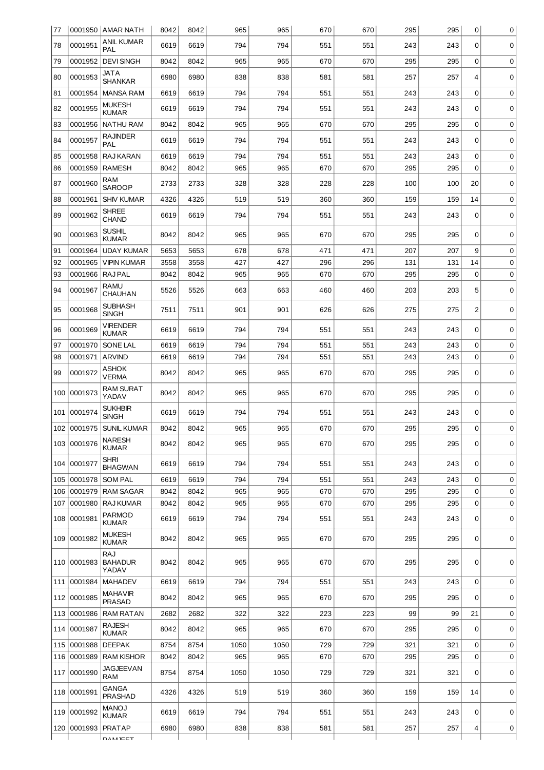| 77  |             | 0001950 AMAR NATH                     | 8042 | 8042 | 965  | 965  | 670 | 670 | 295 | 295 | 0              | 0 |
|-----|-------------|---------------------------------------|------|------|------|------|-----|-----|-----|-----|----------------|---|
| 78  | 0001951     | <b>ANIL KUMAR</b><br>PAL              | 6619 | 6619 | 794  | 794  | 551 | 551 | 243 | 243 | 0              | 0 |
| 79  | 0001952     | <b>DEVI SINGH</b>                     | 8042 | 8042 | 965  | 965  | 670 | 670 | 295 | 295 | 0              | 0 |
| 80  | 0001953     | <b>JATA</b><br><b>SHANKAR</b>         | 6980 | 6980 | 838  | 838  | 581 | 581 | 257 | 257 | 4              | 0 |
| 81  | 0001954     | <b>MANSA RAM</b>                      | 6619 | 6619 | 794  | 794  | 551 | 551 | 243 | 243 | $\mathbf 0$    | 0 |
| 82  | 0001955     | <b>MUKESH</b><br><b>KUMAR</b>         | 6619 | 6619 | 794  | 794  | 551 | 551 | 243 | 243 | 0              | 0 |
| 83  | 0001956     | <b>NATHU RAM</b>                      | 8042 | 8042 | 965  | 965  | 670 | 670 | 295 | 295 | 0              | 0 |
| 84  | 0001957     | <b>RAJINDER</b><br>PAL                | 6619 | 6619 | 794  | 794  | 551 | 551 | 243 | 243 | 0              | 0 |
| 85  | 0001958     | RAJ KARAN                             | 6619 | 6619 | 794  | 794  | 551 | 551 | 243 | 243 | 0              | 0 |
| 86  | 0001959     | <b>RAMESH</b>                         | 8042 | 8042 | 965  | 965  | 670 | 670 | 295 | 295 | $\mathbf 0$    | 0 |
| 87  | 0001960     | RAM<br><b>SAROOP</b>                  | 2733 | 2733 | 328  | 328  | 228 | 228 | 100 | 100 | 20             | 0 |
| 88  | 0001961     | <b>SHIV KUMAR</b>                     | 4326 | 4326 | 519  | 519  | 360 | 360 | 159 | 159 | 14             | 0 |
| 89  | 0001962     | <b>SHREE</b><br><b>CHAND</b>          | 6619 | 6619 | 794  | 794  | 551 | 551 | 243 | 243 | 0              | 0 |
| 90  | 0001963     | <b>SUSHIL</b><br><b>KUMAR</b>         | 8042 | 8042 | 965  | 965  | 670 | 670 | 295 | 295 | 0              | 0 |
| 91  | 0001964     | <b>UDAY KUMAR</b>                     | 5653 | 5653 | 678  | 678  | 471 | 471 | 207 | 207 | 9              | 0 |
| 92  | 0001965     | <b>VIPIN KUMAR</b>                    | 3558 | 3558 | 427  | 427  | 296 | 296 | 131 | 131 | 14             | 0 |
| 93  | 0001966     | RAJ PAL                               | 8042 | 8042 | 965  | 965  | 670 | 670 | 295 | 295 | $\mathbf 0$    | 0 |
| 94  | 0001967     | <b>RAMU</b><br><b>CHAUHAN</b>         | 5526 | 5526 | 663  | 663  | 460 | 460 | 203 | 203 | 5              | 0 |
| 95  | 0001968     | <b>SUBHASH</b><br><b>SINGH</b>        | 7511 | 7511 | 901  | 901  | 626 | 626 | 275 | 275 | $\overline{2}$ | 0 |
| 96  | 0001969     | <b>VIRENDER</b><br><b>KUMAR</b>       | 6619 | 6619 | 794  | 794  | 551 | 551 | 243 | 243 | 0              | 0 |
| 97  | 0001970     | SONE LAL                              | 6619 | 6619 | 794  | 794  | 551 | 551 | 243 | 243 | $\mathbf 0$    | 0 |
| 98  | 0001971     | <b>ARVIND</b>                         | 6619 | 6619 | 794  | 794  | 551 | 551 | 243 | 243 | 0              | 0 |
| 99  | 0001972     | <b>ASHOK</b><br><b>VERMA</b>          | 8042 | 8042 | 965  | 965  | 670 | 670 | 295 | 295 | 0              | 0 |
| 100 | 0001973     | <b>RAM SURAT</b><br>YADAV             | 8042 | 8042 | 965  | 965  | 670 | 670 | 295 | 295 | 0              | 0 |
| 101 | 0001974     | <b>SUKHBIR</b><br><b>SINGH</b>        | 6619 | 6619 | 794  | 794  | 551 | 551 | 243 | 243 | 0              | 0 |
| 102 | 0001975     | <b>SUNIL KUMAR</b>                    | 8042 | 8042 | 965  | 965  | 670 | 670 | 295 | 295 | $\mathbf 0$    | 0 |
|     | 103 0001976 | <b>NARESH</b><br><b>KUMAR</b>         | 8042 | 8042 | 965  | 965  | 670 | 670 | 295 | 295 | 0              | 0 |
|     | 104 0001977 | <b>SHRI</b><br><b>BHAGWAN</b>         | 6619 | 6619 | 794  | 794  | 551 | 551 | 243 | 243 | 0              | 0 |
| 105 | 0001978     | <b>SOM PAL</b>                        | 6619 | 6619 | 794  | 794  | 551 | 551 | 243 | 243 | 0              | 0 |
|     | 106 0001979 | <b>RAM SAGAR</b>                      | 8042 | 8042 | 965  | 965  | 670 | 670 | 295 | 295 | $\mathbf 0$    | 0 |
| 107 | 0001980     | <b>RAJ KUMAR</b>                      | 8042 | 8042 | 965  | 965  | 670 | 670 | 295 | 295 | 0              | 0 |
|     | 108 0001981 | <b>PARMOD</b><br><b>KUMAR</b>         | 6619 | 6619 | 794  | 794  | 551 | 551 | 243 | 243 | 0              | 0 |
|     | 109 0001982 | <b>MUKESH</b><br><b>KUMAR</b>         | 8042 | 8042 | 965  | 965  | 670 | 670 | 295 | 295 | 0              | 0 |
|     | 110 0001983 | <b>RAJ</b><br><b>BAHADUR</b><br>YADAV | 8042 | 8042 | 965  | 965  | 670 | 670 | 295 | 295 | 0              | 0 |
| 111 | 0001984     | <b>MAHADEV</b>                        | 6619 | 6619 | 794  | 794  | 551 | 551 | 243 | 243 | 0              | 0 |
| 112 | 0001985     | <b>MAHAVIR</b><br><b>PRASAD</b>       | 8042 | 8042 | 965  | 965  | 670 | 670 | 295 | 295 | 0              | 0 |
| 113 | 0001986     | <b>RAM RATAN</b>                      | 2682 | 2682 | 322  | 322  | 223 | 223 | 99  | 99  | 21             | 0 |
|     | 114 0001987 | <b>RAJESH</b><br><b>KUMAR</b>         | 8042 | 8042 | 965  | 965  | 670 | 670 | 295 | 295 | 0              | 0 |
| 115 | 0001988     | <b>DEEPAK</b>                         | 8754 | 8754 | 1050 | 1050 | 729 | 729 | 321 | 321 | $\mathbf 0$    | 0 |
| 116 | 0001989     | <b>RAM KISHOR</b>                     | 8042 | 8042 | 965  | 965  | 670 | 670 | 295 | 295 | 0              | 0 |
| 117 | 0001990     | <b>JAGJEEVAN</b><br><b>RAM</b>        | 8754 | 8754 | 1050 | 1050 | 729 | 729 | 321 | 321 | 0              | 0 |
|     | 118 0001991 | <b>GANGA</b><br><b>PRASHAD</b>        | 4326 | 4326 | 519  | 519  | 360 | 360 | 159 | 159 | 14             | 0 |
| 119 | 0001992     | <b>MANOJ</b><br><b>KUMAR</b>          | 6619 | 6619 | 794  | 794  | 551 | 551 | 243 | 243 | $\Omega$       | 0 |
| 120 | 0001993     | PRATAP                                | 6980 | 6980 | 838  | 838  | 581 | 581 | 257 | 257 | 4              | 0 |
|     |             | DAMICET                               |      |      |      |      |     |     |     |     |                |   |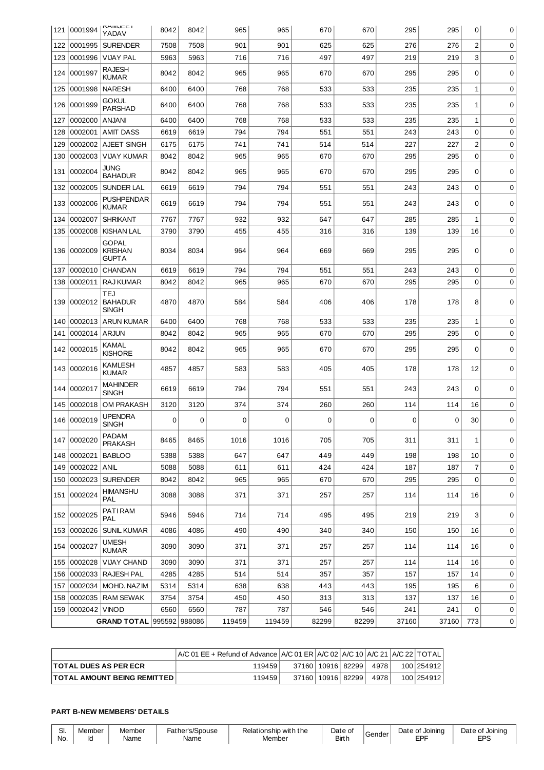|     | 121 0001994   | <b>KAIVIJEE I</b><br>YADAV                     | 8042 | 8042 | 965    | 965    | 670   | 670   | 295   | 295   | 0              | 0 |
|-----|---------------|------------------------------------------------|------|------|--------|--------|-------|-------|-------|-------|----------------|---|
| 122 | 0001995       | <b>SURENDER</b>                                | 7508 | 7508 | 901    | 901    | 625   | 625   | 276   | 276   | $\overline{2}$ | 0 |
| 123 | 0001996       | <b>VIJAY PAL</b>                               | 5963 | 5963 | 716    | 716    | 497   | 497   | 219   | 219   | 3              | 0 |
| 124 | 0001997       | <b>RAJESH</b><br><b>KUMAR</b>                  | 8042 | 8042 | 965    | 965    | 670   | 670   | 295   | 295   | 0              | 0 |
| 125 | 0001998       | <b>NARESH</b>                                  | 6400 | 6400 | 768    | 768    | 533   | 533   | 235   | 235   | $1\,$          | 0 |
| 126 | 0001999       | GOKUL<br><b>PARSHAD</b>                        | 6400 | 6400 | 768    | 768    | 533   | 533   | 235   | 235   | 1              | 0 |
| 127 | 0002000       | <b>ANJANI</b>                                  | 6400 | 6400 | 768    | 768    | 533   | 533   | 235   | 235   | 1              | 0 |
| 128 | 0002001       | <b>AMIT DASS</b>                               | 6619 | 6619 | 794    | 794    | 551   | 551   | 243   | 243   | $\mathbf 0$    | 0 |
| 129 | 0002002       | <b>AJEET SINGH</b>                             | 6175 | 6175 | 741    | 741    | 514   | 514   | 227   | 227   | $\overline{2}$ | 0 |
| 130 | 0002003       | <b>VIJAY KUMAR</b>                             | 8042 | 8042 | 965    | 965    | 670   | 670   | 295   | 295   | $\mathbf 0$    | 0 |
| 131 | 0002004       | <b>JUNG</b><br><b>BAHADUR</b>                  | 8042 | 8042 | 965    | 965    | 670   | 670   | 295   | 295   | $\Omega$       | 0 |
| 132 | 0002005       | SUNDER LAL                                     | 6619 | 6619 | 794    | 794    | 551   | 551   | 243   | 243   | $\mathbf 0$    | 0 |
| 133 | 0002006       | <b>PUSHPENDAR</b><br><b>KUMAR</b>              | 6619 | 6619 | 794    | 794    | 551   | 551   | 243   | 243   | $\Omega$       | 0 |
| 134 | 0002007       | <b>SHRIKANT</b>                                | 7767 | 7767 | 932    | 932    | 647   | 647   | 285   | 285   | 1              | 0 |
| 135 | 0002008       | <b>KISHAN LAL</b>                              | 3790 | 3790 | 455    | 455    | 316   | 316   | 139   | 139   | 16             | 0 |
| 136 | 0002009       | <b>GOPAL</b><br><b>KRISHAN</b><br><b>GUPTA</b> | 8034 | 8034 | 964    | 964    | 669   | 669   | 295   | 295   | 0              | 0 |
| 137 | 0002010       | <b>CHANDAN</b>                                 | 6619 | 6619 | 794    | 794    | 551   | 551   | 243   | 243   | $\mathbf 0$    | 0 |
| 138 | 0002011       | <b>RAJ KUMAR</b>                               | 8042 | 8042 | 965    | 965    | 670   | 670   | 295   | 295   | $\Omega$       | 0 |
| 139 | 0002012       | TEJ<br><b>BAHADUR</b><br><b>SINGH</b>          | 4870 | 4870 | 584    | 584    | 406   | 406   | 178   | 178   | 8              | 0 |
| 140 | 0002013       | <b>ARUN KUMAR</b>                              | 6400 | 6400 | 768    | 768    | 533   | 533   | 235   | 235   | 1              | 0 |
| 141 | 0002014       | <b>ARJUN</b>                                   | 8042 | 8042 | 965    | 965    | 670   | 670   | 295   | 295   | $\mathbf 0$    | 0 |
| 142 | 0002015       | KAMAL<br><b>KISHORE</b>                        | 8042 | 8042 | 965    | 965    | 670   | 670   | 295   | 295   | 0              | 0 |
|     | 143 0002016   | KAMLESH<br>KUMAR                               | 4857 | 4857 | 583    | 583    | 405   | 405   | 178   | 178   | 12             | 0 |
| 144 | 0002017       | <b>MAHINDER</b><br><b>SINGH</b>                | 6619 | 6619 | 794    | 794    | 551   | 551   | 243   | 243   | $\Omega$       | 0 |
| 145 | 0002018       | <b>OM PRAKASH</b>                              | 3120 | 3120 | 374    | 374    | 260   | 260   | 114   | 114   | 16             | 0 |
| 146 | 0002019       | <b>UPENDRA</b><br><b>SINGH</b>                 | 0    | 0    | 0      | 0      | 0     | 0     | 0     | 0     | 30             | 0 |
|     | 147 0002020   | PADAM<br><b>PRAKASH</b>                        | 8465 | 8465 | 1016   | 1016   | 705   | 705   | 311   | 311   | 1              | 0 |
|     | 148 0002021   | <b>BABLOO</b>                                  | 5388 | 5388 | 647    | 647    | 449   | 449   | 198   | 198   | 10             | 0 |
|     | 149 0002022   | ANIL                                           | 5088 | 5088 | 611    | 611    | 424   | 424   | 187   | 187   | $\overline{7}$ | 0 |
| 150 | 0002023       | <b>SURENDER</b>                                | 8042 | 8042 | 965    | 965    | 670   | 670   | 295   | 295   | $\mathbf 0$    | 0 |
|     | 151 0002024   | HIMANSHU<br>PAL                                | 3088 | 3088 | 371    | 371    | 257   | 257   | 114   | 114   | 16             | 0 |
|     | 152 0002025   | <b>PATIRAM</b><br><b>PAL</b>                   | 5946 | 5946 | 714    | 714    | 495   | 495   | 219   | 219   | 3              | 0 |
| 153 | 0002026       | <b>SUNIL KUMAR</b>                             | 4086 | 4086 | 490    | 490    | 340   | 340   | 150   | 150   | 16             | 0 |
| 154 | 0002027       | <b>UMESH</b><br><b>KUMAR</b>                   | 3090 | 3090 | 371    | 371    | 257   | 257   | 114   | 114   | 16             | 0 |
| 155 | 0002028       | <b>VIJAY CHAND</b>                             | 3090 | 3090 | 371    | 371    | 257   | 257   | 114   | 114   | 16             | 0 |
| 156 | 0002033       | <b>RAJESH PAL</b>                              | 4285 | 4285 | 514    | 514    | 357   | 357   | 157   | 157   | 14             | 0 |
| 157 | 0002034       | MOHD. NAZIM                                    | 5314 | 5314 | 638    | 638    | 443   | 443   | 195   | 195   | 6              | 0 |
| 158 | 0002035       | <b>RAM SEWAK</b>                               | 3754 | 3754 | 450    | 450    | 313   | 313   | 137   | 137   | 16             | 0 |
| 159 | 0002042 VINOD |                                                | 6560 | 6560 | 787    | 787    | 546   | 546   | 241   | 241   | $\mathbf 0$    | 0 |
|     |               | GRAND TOTAL 995592 988086                      |      |      | 119459 | 119459 | 82299 | 82299 | 37160 | 37160 | 773            | 0 |

|                                    | $AC$ 01 EE + Refund of Advance $AC$ 01 ER $AC$ 02 A/C 10 A/C 21 A/C 22 TOTAL |                       |      |            |
|------------------------------------|------------------------------------------------------------------------------|-----------------------|------|------------|
| <b>TOTAL DUES AS PER ECR</b>       | 119459                                                                       | 37160   10916   82299 | 4978 | 100 254912 |
| <b>TOTAL AMOUNT BEING REMITTED</b> | 119459                                                                       | 37160   10916   82299 | 4978 | 100 254912 |

## **PART B-NEW MEMBERS' DETAILS**

| ں   | viember | emher. | <b>AOUSA</b><br>$h \cap r' \cap R$<br>$\sim$ | Relationshin with<br>the | Date  | `anda | חוחור <sup>י</sup><br>)at | Joinino<br>)at A<br>$\sim$ |
|-----|---------|--------|----------------------------------------------|--------------------------|-------|-------|---------------------------|----------------------------|
| No. |         | Nam∈   | Name                                         | "Mem<br>рe               | Birth |       |                           | ---                        |